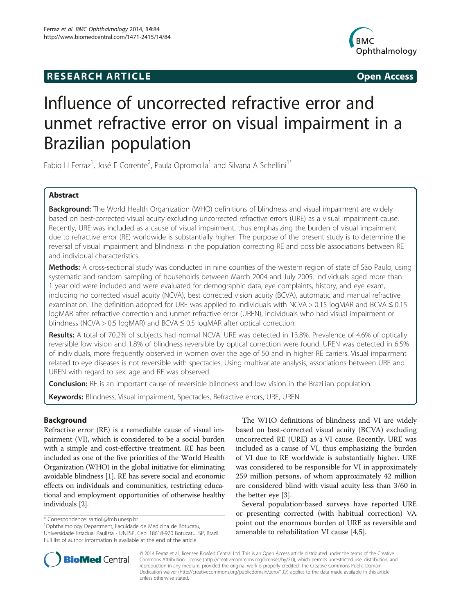## **RESEARCH ARTICLE Example 2014 CONSIDERING CONSIDERING CONSIDERING CONSIDERING CONSIDERING CONSIDERING CONSIDERING CONSIDERING CONSIDERING CONSIDERING CONSIDERING CONSIDERING CONSIDERING CONSIDERING CONSIDERING CONSIDE**



# Influence of uncorrected refractive error and unmet refractive error on visual impairment in a Brazilian population

Fabio H Ferraz<sup>1</sup>, José E Corrente<sup>2</sup>, Paula Opromolla<sup>1</sup> and Silvana A Schellini<sup>1\*</sup>

## Abstract

Background: The World Health Organization (WHO) definitions of blindness and visual impairment are widely based on best-corrected visual acuity excluding uncorrected refractive errors (URE) as a visual impairment cause. Recently, URE was included as a cause of visual impairment, thus emphasizing the burden of visual impairment due to refractive error (RE) worldwide is substantially higher. The purpose of the present study is to determine the reversal of visual impairment and blindness in the population correcting RE and possible associations between RE and individual characteristics.

Methods: A cross-sectional study was conducted in nine counties of the western region of state of São Paulo, using systematic and random sampling of households between March 2004 and July 2005. Individuals aged more than 1 year old were included and were evaluated for demographic data, eye complaints, history, and eye exam, including no corrected visual acuity (NCVA), best corrected vision acuity (BCVA), automatic and manual refractive examination. The definition adopted for URE was applied to individuals with NCVA > 0.15 logMAR and BCVA ≤ 0.15 logMAR after refractive correction and unmet refractive error (UREN), individuals who had visual impairment or blindness (NCVA > 0.5 logMAR) and BCVA ≤ 0.5 logMAR after optical correction.

Results: A total of 70.2% of subjects had normal NCVA. URE was detected in 13.8%. Prevalence of 4.6% of optically reversible low vision and 1.8% of blindness reversible by optical correction were found. UREN was detected in 6.5% of individuals, more frequently observed in women over the age of 50 and in higher RE carriers. Visual impairment related to eye diseases is not reversible with spectacles. Using multivariate analysis, associations between URE and UREN with regard to sex, age and RE was observed.

**Conclusion:** RE is an important cause of reversible blindness and low vision in the Brazilian population.

Keywords: Blindness, Visual impairment, Spectacles, Refractive errors, URE, UREN

## **Background**

Refractive error (RE) is a remediable cause of visual impairment (VI), which is considered to be a social burden with a simple and cost-effective treatment. RE has been included as one of the five priorities of the World Health Organization (WHO) in the global initiative for eliminating avoidable blindness [\[1](#page-9-0)]. RE has severe social and economic effects on individuals and communities, restricting educational and employment opportunities of otherwise healthy individuals [[2\]](#page-9-0).

\* Correspondence: [sartioli@fmb.unesp.br](mailto:sartioli@fmb.unesp.br) <sup>1</sup>

Ophthalmology Department, Faculdade de Medicina de Botucatu, Universidade Estadual Paulista - UNESP, Cep: 18618-970 Botucatu, SP, Brazil Full list of author information is available at the end of the article

The WHO definitions of blindness and VI are widely based on best-corrected visual acuity (BCVA) excluding uncorrected RE (URE) as a VI cause. Recently, URE was included as a cause of VI, thus emphasizing the burden of VI due to RE worldwide is substantially higher. URE was considered to be responsible for VI in approximately 259 million persons, of whom approximately 42 million are considered blind with visual acuity less than 3/60 in the better eye [[3\]](#page-9-0).

Several population‐based surveys have reported URE or presenting corrected (with habitual correction) VA point out the enormous burden of URE as reversible and amenable to rehabilitation VI cause [\[4](#page-9-0),[5](#page-9-0)].



© 2014 Ferraz et al.; licensee BioMed Central Ltd. This is an Open Access article distributed under the terms of the Creative Commons Attribution License [\(http://creativecommons.org/licenses/by/2.0\)](http://creativecommons.org/licenses/by/2.0), which permits unrestricted use, distribution, and reproduction in any medium, provided the original work is properly credited. The Creative Commons Public Domain Dedication waiver [\(http://creativecommons.org/publicdomain/zero/1.0/](http://creativecommons.org/publicdomain/zero/1.0/)) applies to the data made available in this article, unless otherwise stated.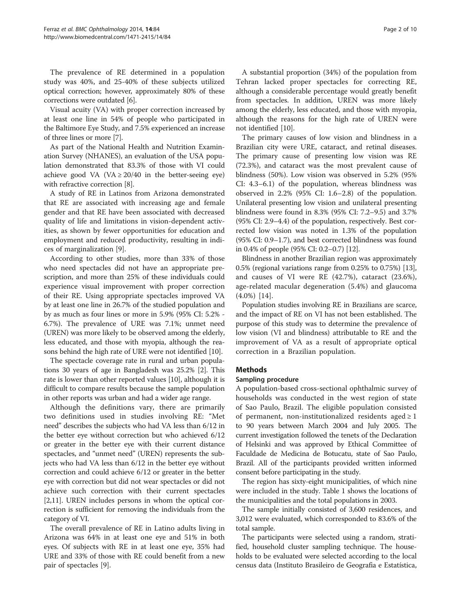The prevalence of RE determined in a population study was 40%, and 25-40% of these subjects utilized optical correction; however, approximately 80% of these corrections were outdated [[6\]](#page-9-0).

Visual acuity (VA) with proper correction increased by at least one line in 54% of people who participated in the Baltimore Eye Study, and 7.5% experienced an increase of three lines or more [\[7\]](#page-9-0).

As part of the National Health and Nutrition Examination Survey (NHANES), an evaluation of the USA population demonstrated that 83.3% of those with VI could achieve good VA (VA  $\geq$  20/40 in the better-seeing eye) with refractive correction [[8](#page-9-0)].

A study of RE in Latinos from Arizona demonstrated that RE are associated with increasing age and female gender and that RE have been associated with decreased quality of life and limitations in vision-dependent activities, as shown by fewer opportunities for education and employment and reduced productivity, resulting in indices of marginalization [[9\]](#page-9-0).

According to other studies, more than 33% of those who need spectacles did not have an appropriate prescription, and more than 25% of these individuals could experience visual improvement with proper correction of their RE. Using appropriate spectacles improved VA by at least one line in 26.7% of the studied population and by as much as four lines or more in 5.9% (95% CI: 5.2% - 6.7%). The prevalence of URE was 7.1%; unmet need (UREN) was more likely to be observed among the elderly, less educated, and those with myopia, although the reasons behind the high rate of URE were not identified [\[10\]](#page-9-0).

The spectacle coverage rate in rural and urban populations 30 years of age in Bangladesh was 25.2% [[2](#page-9-0)]. This rate is lower than other reported values [\[10](#page-9-0)], although it is difficult to compare results because the sample population in other reports was urban and had a wider age range.

Although the definitions vary, there are primarily two definitions used in studies involving RE: "Met need" describes the subjects who had VA less than 6/12 in the better eye without correction but who achieved 6/12 or greater in the better eye with their current distance spectacles, and "unmet need" (UREN) represents the subjects who had VA less than 6/12 in the better eye without correction and could achieve 6/12 or greater in the better eye with correction but did not wear spectacles or did not achieve such correction with their current spectacles [[2,11](#page-9-0)]. UREN includes persons in whom the optical correction is sufficient for removing the individuals from the category of VI.

The overall prevalence of RE in Latino adults living in Arizona was 64% in at least one eye and 51% in both eyes. Of subjects with RE in at least one eye, 35% had URE and 33% of those with RE could benefit from a new pair of spectacles [\[9](#page-9-0)].

A substantial proportion (34%) of the population from Tehran lacked proper spectacles for correcting RE, although a considerable percentage would greatly benefit from spectacles. In addition, UREN was more likely among the elderly, less educated, and those with myopia, although the reasons for the high rate of UREN were not identified [[10\]](#page-9-0).

The primary causes of low vision and blindness in a Brazilian city were URE, cataract, and retinal diseases. The primary cause of presenting low vision was RE (72.3%), and cataract was the most prevalent cause of blindness (50%). Low vision was observed in 5.2% (95% CI: 4.3–6.1) of the population, whereas blindness was observed in 2.2% (95% CI: 1.6–2.8) of the population. Unilateral presenting low vision and unilateral presenting blindness were found in 8.3% (95% CI: 7.2–9.5) and 3.7% (95% CI: 2.9–4.4) of the population, respectively. Best corrected low vision was noted in 1.3% of the population (95% CI: 0.9–1.7), and best corrected blindness was found in 0.4% of people (95% CI: 0.2–0.7) [\[12\]](#page-9-0).

Blindness in another Brazilian region was approximately 0.5% (regional variations range from 0.25% to 0.75%) [[13](#page-9-0)], and causes of VI were RE (42.7%), cataract (23.6%), age-related macular degeneration (5.4%) and glaucoma (4.0%) [[14\]](#page-9-0).

Population studies involving RE in Brazilians are scarce, and the impact of RE on VI has not been established. The purpose of this study was to determine the prevalence of low vision (VI and blindness) attributable to RE and the improvement of VA as a result of appropriate optical correction in a Brazilian population.

## Methods

## Sampling procedure

A population-based cross-sectional ophthalmic survey of households was conducted in the west region of state of Sao Paulo, Brazil. The eligible population consisted of permanent, non-institutionalized residents aged  $\geq 1$ to 90 years between March 2004 and July 2005. The current investigation followed the tenets of the Declaration of Helsinki and was approved by Ethical Committee of Faculdade de Medicina de Botucatu, state of Sao Paulo, Brazil. All of the participants provided written informed consent before participating in the study.

The region has sixty-eight municipalities, of which nine were included in the study. Table [1](#page-2-0) shows the locations of the municipalities and the total populations in 2003.

The sample initially consisted of 3,600 residences, and 3,012 were evaluated, which corresponded to 83.6% of the total sample.

The participants were selected using a random, stratified, household cluster sampling technique. The households to be evaluated were selected according to the local census data (Instituto Brasileiro de Geografia e Estatística,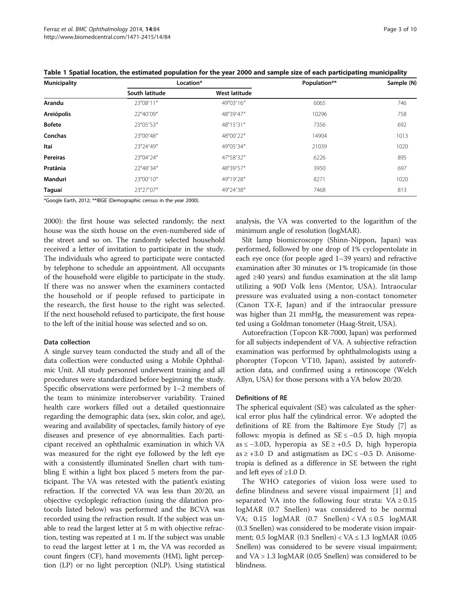| <b>Municipality</b> | Location*      |               | Population** | Sample (N) |  |
|---------------------|----------------|---------------|--------------|------------|--|
|                     | South latitude | West latitude |              |            |  |
| Arandu              | 23°08'11"      | 49°03'16"     | 6065         | 746        |  |
| Areiópolis          | 22°40'09"      | 48°39'47"     | 10296        | 758        |  |
| <b>Bofete</b>       | 23°05'53"      | 48°15'31"     | 7356         | 692        |  |
| Conchas             | 23°00'48"      | 48°00'22"     | 14904        | 1013       |  |
| ltaí                | 23°24'49"      | 49°05'34"     | 21039        | 1020       |  |
| <b>Pereiras</b>     | 23°04'24"      | 47°58'32"     | 6226         | 895        |  |
| Pratânia            | 22°48'34"      | 48°39'57"     | 3950         | 697        |  |
| Manduri             | 23°00'10"      | 49°19'28"     | 8271         | 1020       |  |
| Taguaí              | 23°27'07"      | 49°24'38"     | 7468         | 813        |  |

<span id="page-2-0"></span>Table 1 Spatial location, the estimated population for the year 2000 and sample size of each participating municipality

\*Google Earth, 2012; \*\*IBGE (Demographic census in the year 2000).

2000): the first house was selected randomly; the next house was the sixth house on the even-numbered side of the street and so on. The randomly selected household received a letter of invitation to participate in the study. The individuals who agreed to participate were contacted by telephone to schedule an appointment. All occupants of the household were eligible to participate in the study. If there was no answer when the examiners contacted the household or if people refused to participate in the research, the first house to the right was selected. If the next household refused to participate, the first house to the left of the initial house was selected and so on.

#### Data collection

A single survey team conducted the study and all of the data collection were conducted using a Mobile Ophthalmic Unit. All study personnel underwent training and all procedures were standardized before beginning the study. Specific observations were performed by 1–2 members of the team to minimize interobserver variability. Trained health care workers filled out a detailed questionnaire regarding the demographic data (sex, skin color, and age), wearing and availability of spectacles, family history of eye diseases and presence of eye abnormalities. Each participant received an ophthalmic examination in which VA was measured for the right eye followed by the left eye with a consistently illuminated Snellen chart with tumbling E within a light box placed 5 meters from the participant. The VA was retested with the patient's existing refraction. If the corrected VA was less than 20/20, an objective cycloplegic refraction (using the dilatation protocols listed below) was performed and the BCVA was recorded using the refraction result. If the subject was unable to read the largest letter at 5 m with objective refraction, testing was repeated at 1 m. If the subject was unable to read the largest letter at 1 m, the VA was recorded as count fingers (CF), hand movements (HM), light perception (LP) or no light perception (NLP). Using statistical

analysis, the VA was converted to the logarithm of the minimum angle of resolution (logMAR).

Slit lamp biomicroscopy (Shinn-Nippon, Japan) was performed, followed by one drop of 1% cyclopentolate in each eye once (for people aged 1–39 years) and refractive examination after 30 minutes or 1% tropicamide (in those aged ≥40 years) and fundus examination at the slit lamp utilizing a 90D Volk lens (Mentor, USA). Intraocular pressure was evaluated using a non-contact tonometer (Canon TX-F, Japan) and if the intraocular pressure was higher than 21 mmHg, the measurement was repeated using a Goldman tonometer (Haag-Streit, USA).

Autorefraction (Topcon KR-7000, Japan) was performed for all subjects independent of VA. A subjective refraction examination was performed by ophthalmologists using a phoropter (Topcon VT10, Japan), assisted by autorefraction data, and confirmed using a retinoscope (Welch Allyn, USA) for those persons with a VA below 20/20.

### Definitions of RE

The spherical equivalent (SE) was calculated as the spherical error plus half the cylindrical error. We adopted the definitions of RE from the Baltimore Eye Study [\[7](#page-9-0)] as follows: myopia is defined as SE ≤ −0.5 D, high myopia as ≤ −3.0D, hyperopia as SE ≥ +0.5 D, high hyperopia as  $\ge$  +3.0 D and astigmatism as DC  $\le$  -0.5 D. Anisometropia is defined as a difference in SE between the right and left eyes of  $\geq 1.0$  D.

The WHO categories of vision loss were used to define blindness and severe visual impairment [[1\]](#page-9-0) and separated VA into the following four strata:  $VA \ge 0.15$ logMAR (0.7 Snellen) was considered to be normal VA; 0.15 logMAR (0.7 Snellen) < VA ≤ 0.5 logMAR (0.3 Snellen) was considered to be moderate vision impairment; 0.5  $logMAR$  (0.3 Snellen) < VA  $\leq$  1.3  $logMAR$  (0.05 Snellen) was considered to be severe visual impairment; and VA > 1.3 logMAR (0.05 Snellen) was considered to be blindness.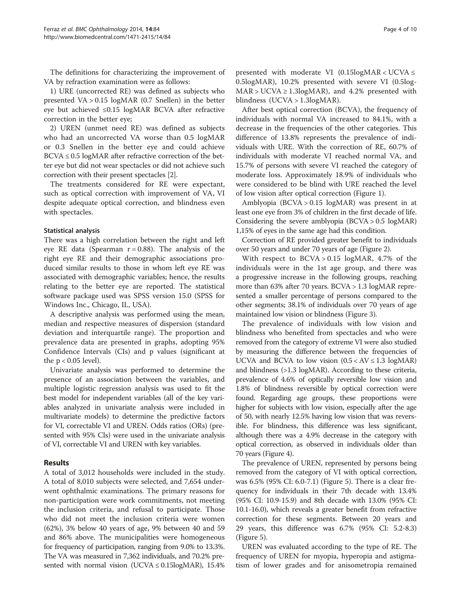The definitions for characterizing the improvement of VA by refraction examination were as follows:

1) URE (uncorrected RE) was defined as subjects who presented VA > 0.15 logMAR (0.7 Snellen) in the better eye but achieved ≤0.15 logMAR BCVA after refractive correction in the better eye;

2) UREN (unmet need RE) was defined as subjects who had an uncorrected VA worse than 0.5 logMAR or 0.3 Snellen in the better eye and could achieve  $BCVA \leq 0.5$  logMAR after refractive correction of the better eye but did not wear spectacles or did not achieve such correction with their present spectacles [[2](#page-9-0)].

The treatments considered for RE were expectant, such as optical correction with improvement of VA, VI despite adequate optical correction, and blindness even with spectacles.

## Statistical analysis

There was a high correlation between the right and left eye RE data (Spearman  $r = 0.88$ ). The analysis of the right eye RE and their demographic associations produced similar results to those in whom left eye RE was associated with demographic variables; hence, the results relating to the better eye are reported. The statistical software package used was SPSS version 15.0 (SPSS for Windows Inc., Chicago, IL, USA).

A descriptive analysis was performed using the mean, median and respective measures of dispersion (standard deviation and interquartile range). The proportion and prevalence data are presented in graphs, adopting 95% Confidence Intervals (CIs) and p values (significant at the  $p < 0.05$  level).

Univariate analysis was performed to determine the presence of an association between the variables, and multiple logistic regression analysis was used to fit the best model for independent variables (all of the key variables analyzed in univariate analysis were included in multivariate models) to determine the predictive factors for VI, correctable VI and UREN. Odds ratios (ORs) (presented with 95% CIs) were used in the univariate analysis of VI, correctable VI and UREN with key variables.

## Results

A total of 3,012 households were included in the study. A total of 8,010 subjects were selected, and 7,654 underwent ophthalmic examinations. The primary reasons for non-participation were work commitments, not meeting the inclusion criteria, and refusal to participate. Those who did not meet the inclusion criteria were women (62%), 3% below 40 years of age, 9% between 40 and 59 and 86% above. The municipalities were homogeneous for frequency of participation, ranging from 9.0% to 13.3%. The VA was measured in 7,362 individuals, and 70.2% presented with normal vision (UCVA  $\leq$  0.15logMAR), 15.4%

presented with moderate VI (0.15 $logMAR < UCVA \leq$ 0.5logMAR), 10.2% presented with severe VI (0.5log- $MAR > UCVA \ge 1.3logMAR$ , and 4.2% presented with blindness (UCVA > 1.3logMAR).

After best optical correction (BCVA), the frequency of individuals with normal VA increased to 84.1%, with a decrease in the frequencies of the other categories. This difference of 13.8% represents the prevalence of individuals with URE. With the correction of RE, 60.7% of individuals with moderate VI reached normal VA, and 15.7% of persons with severe VI reached the category of moderate loss. Approximately 18.9% of individuals who were considered to be blind with URE reached the level of low vision after optical correction (Figure [1\)](#page-4-0).

Amblyopia (BCVA > 0.15 logMAR) was present in at least one eye from 3% of children in the first decade of life. Considering the severe amblyopia (BCVA > 0.5 logMAR) 1,15% of eyes in the same age had this condition.

Correction of RE provided greater benefit to individuals over 50 years and under 70 years of age (Figure [2\)](#page-4-0).

With respect to  $BCVA > 0.15$  logMAR, 4.7% of the individuals were in the 1st age group, and there was a progressive increase in the following groups, reaching more than 63% after 70 years. BCVA > 1.3 logMAR represented a smaller percentage of persons compared to the other segments; 38.1% of individuals over 70 years of age maintained low vision or blindness (Figure [3](#page-5-0)).

The prevalence of individuals with low vision and blindness who benefited from spectacles and who were removed from the category of extreme VI were also studied by measuring the difference between the frequencies of UCVA and BCVA to low vision  $(0.5 < AV \le 1.3 \text{ log} \text{MAR})$ and blindness (>1.3 logMAR). According to these criteria, prevalence of 4.6% of optically reversible low vision and 1.8% of blindness reversible by optical correction were found. Regarding age groups, these proportions were higher for subjects with low vision, especially after the age of 50, with nearly 12.5% having low vision that was reversible. For blindness, this difference was less significant, although there was a 4.9% decrease in the category with optical correction, as observed in individuals older than 70 years (Figure [4\)](#page-5-0).

The prevalence of UREN, represented by persons being removed from the category of VI with optical correction, was 6.5% (95% CI: 6.0-7.1) (Figure [5\)](#page-6-0). There is a clear frequency for individuals in their 7th decade with 13.4% (95% CI: 10.9-15.9) and 8th decade with 13.0% (95% CI: 10.1-16.0), which reveals a greater benefit from refractive correction for these segments. Between 20 years and 29 years, this difference was 6.7% (95% CI: 5.2-8.3) (Figure [5](#page-6-0)).

UREN was evaluated according to the type of RE. The frequency of UREN for myopia, hyperopia and astigmatism of lower grades and for anisometropia remained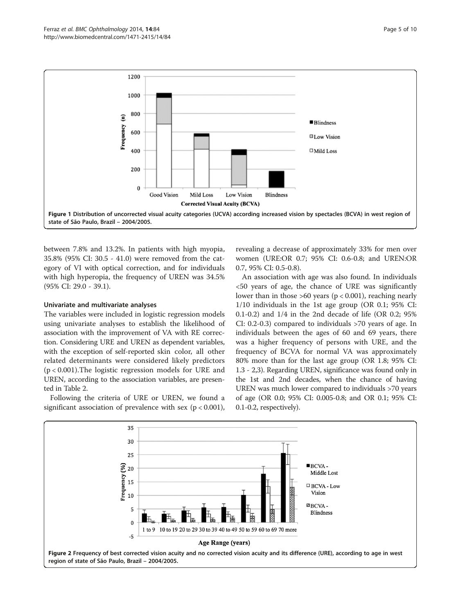<span id="page-4-0"></span>

between 7.8% and 13.2%. In patients with high myopia, 35.8% (95% CI: 30.5 - 41.0) were removed from the category of VI with optical correction, and for individuals with high hyperopia, the frequency of UREN was 34.5% (95% CI: 29.0 - 39.1).

## Univariate and multivariate analyses

The variables were included in logistic regression models using univariate analyses to establish the likelihood of association with the improvement of VA with RE correction. Considering URE and UREN as dependent variables, with the exception of self-reported skin color, all other related determinants were considered likely predictors (p < 0.001).The logistic regression models for URE and UREN, according to the association variables, are presented in Table [2](#page-6-0).

Following the criteria of URE or UREN, we found a significant association of prevalence with sex ( $p < 0.001$ ),

revealing a decrease of approximately 33% for men over women (URE:OR 0.7; 95% CI: 0.6-0.8; and UREN:OR 0.7, 95% CI: 0.5-0.8).

An association with age was also found. In individuals <50 years of age, the chance of URE was significantly lower than in those  $>60$  years ( $p < 0.001$ ), reaching nearly 1/10 individuals in the 1st age group (OR 0.1; 95% CI: 0.1-0.2) and 1/4 in the 2nd decade of life (OR 0.2; 95% CI: 0.2-0.3) compared to individuals >70 years of age. In individuals between the ages of 60 and 69 years, there was a higher frequency of persons with URE, and the frequency of BCVA for normal VA was approximately 80% more than for the last age group (OR 1.8; 95% CI: 1.3 - 2,3). Regarding UREN, significance was found only in the 1st and 2nd decades, when the chance of having UREN was much lower compared to individuals >70 years of age (OR 0.0; 95% CI: 0.005-0.8; and OR 0.1; 95% CI: 0.1-0.2, respectively).

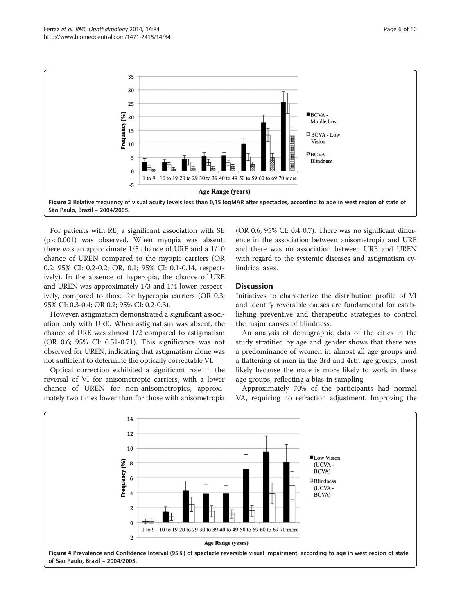<span id="page-5-0"></span>

For patients with RE, a significant association with SE (p < 0.001) was observed. When myopia was absent, there was an approximate 1/5 chance of URE and a 1/10 chance of UREN compared to the myopic carriers (OR 0.2; 95% CI: 0.2-0.2; OR, 0.1; 95% CI: 0.1-0.14, respectively). In the absence of hyperopia, the chance of URE and UREN was approximately 1/3 and 1/4 lower, respectively, compared to those for hyperopia carriers (OR 0.3; 95% CI: 0.3-0.4; OR 0.2; 95% CI: 0.2-0.3).

However, astigmatism demonstrated a significant association only with URE. When astigmatism was absent, the chance of URE was almost 1/2 compared to astigmatism (OR 0.6; 95% CI: 0.51-0.71). This significance was not observed for UREN, indicating that astigmatism alone was not sufficient to determine the optically correctable VI.

Optical correction exhibited a significant role in the reversal of VI for anisometropic carriers, with a lower chance of UREN for non-anisometropics, approximately two times lower than for those with anisometropia

(OR 0.6; 95% CI: 0.4-0.7). There was no significant difference in the association between anisometropia and URE and there was no association between URE and UREN with regard to the systemic diseases and astigmatism cylindrical axes.

## **Discussion**

Initiatives to characterize the distribution profile of VI and identify reversible causes are fundamental for establishing preventive and therapeutic strategies to control the major causes of blindness.

An analysis of demographic data of the cities in the study stratified by age and gender shows that there was a predominance of women in almost all age groups and a flattening of men in the 3rd and 4rth age groups, most likely because the male is more likely to work in these age groups, reflecting a bias in sampling.

Approximately 70% of the participants had normal VA, requiring no refraction adjustment. Improving the

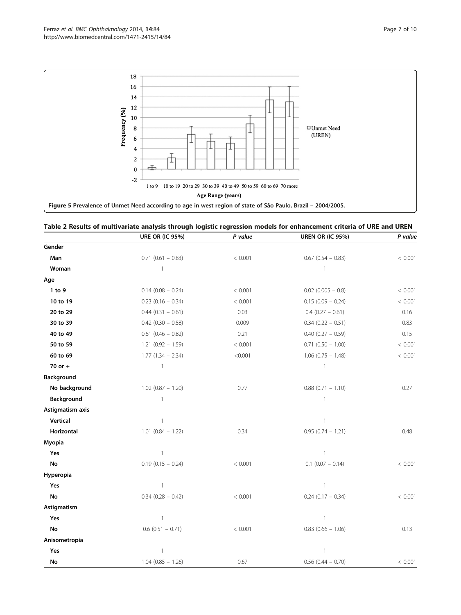<span id="page-6-0"></span>

| Table 2 Results of multivariate analysis through logistic regression models for enhancement criteria of URE and UREN |  |  |
|----------------------------------------------------------------------------------------------------------------------|--|--|
|----------------------------------------------------------------------------------------------------------------------|--|--|

|                        | <b>URE OR (IC 95%)</b> | P value | <b>UREN OR (IC 95%)</b> | P value |
|------------------------|------------------------|---------|-------------------------|---------|
| Gender                 |                        |         |                         |         |
| Man                    | $0.71$ (0.61 - 0.83)   | < 0.001 | $0.67$ (0.54 - 0.83)    | < 0.001 |
| Woman                  | $\mathbf{1}$           |         | -1                      |         |
| Age                    |                        |         |                         |         |
| 1 to 9                 | $0.14$ (0.08 - 0.24)   | < 0.001 | $0.02$ (0.005 - 0.8)    | < 0.001 |
| 10 to 19               | $0.23$ (0.16 - 0.34)   | < 0.001 | $0.15(0.09 - 0.24)$     | < 0.001 |
| 20 to 29               | $0.44$ $(0.31 - 0.61)$ | 0.03    | $0.4$ (0.27 - 0.61)     | 0.16    |
| 30 to 39               | $0.42$ (0.30 - 0.58)   | 0.009   | $0.34$ (0.22 - 0.51)    | 0.83    |
| 40 to 49               | $0.61$ (0.46 - 0.82)   | 0.21    | $0.40$ $(0.27 - 0.59)$  | 0.15    |
| 50 to 59               | $1.21(0.92 - 1.59)$    | < 0.001 | $0.71$ $(0.50 - 1.00)$  | < 0.001 |
| 60 to 69               | $1.77(1.34 - 2.34)$    | < 0.001 | $1.06$ (0.75 - 1.48)    | < 0.001 |
| 70 or +                | $\mathbf{1}$           |         | $\mathbf{1}$            |         |
| Background             |                        |         |                         |         |
| No background          | $1.02$ (0.87 - 1.20)   | 0.77    | $0.88$ (0.71 - 1.10)    | 0.27    |
| Background             | $\mathbf{1}$           |         | $\mathbf{1}$            |         |
| Astigmatism axis       |                        |         |                         |         |
| Vertical               | $\mathbf{1}$           |         | $\mathbf{1}$            |         |
| Horizontal             | $1.01$ (0.84 - 1.22)   | 0.34    | $0.95(0.74 - 1.21)$     | 0.48    |
| Myopia                 |                        |         |                         |         |
| Yes                    | $\mathbf{1}$           |         | 1                       |         |
| No                     | $0.19(0.15 - 0.24)$    | < 0.001 | $0.1$ (0.07 - 0.14)     | < 0.001 |
| Hyperopia              |                        |         |                         |         |
| Yes                    | 1                      |         | $\mathbf{1}$            |         |
| No                     | $0.34$ (0.28 - 0.42)   | < 0.001 | $0.24$ (0.17 - 0.34)    | < 0.001 |
| Astigmatism            |                        |         |                         |         |
| Yes                    | $\mathbf{1}$           |         | $\mathbf{1}$            |         |
| $\mathop{\mathsf{No}}$ | $0.6$ (0.51 - 0.71)    | < 0.001 | $0.83$ (0.66 - 1.06)    | 0.13    |
| Anisometropia          |                        |         |                         |         |
| Yes                    | $\overline{1}$         |         | $\mathbf{1}$            |         |
| $\mathop{\mathsf{No}}$ | $1.04$ (0.85 - 1.26)   | 0.67    | $0.56$ (0.44 - 0.70)    | < 0.001 |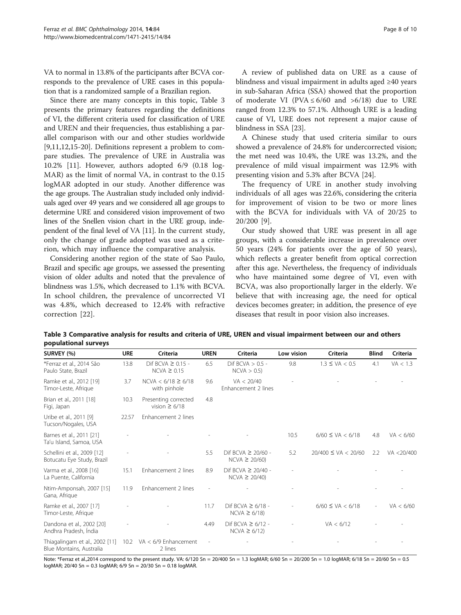VA to normal in 13.8% of the participants after BCVA corresponds to the prevalence of URE cases in this population that is a randomized sample of a Brazilian region.

Since there are many concepts in this topic, Table 3 presents the primary features regarding the definitions of VI, the different criteria used for classification of URE and UREN and their frequencies, thus establishing a parallel comparison with our and other studies worldwide [[9,11,12,15-20](#page-9-0)]. Definitions represent a problem to compare studies. The prevalence of URE in Australia was 10.2% [\[11](#page-9-0)]. However, authors adopted 6/9 (0.18 log-MAR) as the limit of normal VA, in contrast to the 0.15 logMAR adopted in our study. Another difference was the age groups. The Australian study included only individuals aged over 49 years and we considered all age groups to determine URE and considered vision improvement of two lines of the Snellen vision chart in the URE group, independent of the final level of VA [\[11](#page-9-0)]. In the current study, only the change of grade adopted was used as a criterion, which may influence the comparative analysis.

Considering another region of the state of Sao Paulo, Brazil and specific age groups, we assessed the presenting vision of older adults and noted that the prevalence of blindness was 1.5%, which decreased to 1.1% with BCVA. In school children, the prevalence of uncorrected VI was 4.8%, which decreased to 12.4% with refractive correction [[22\]](#page-9-0).

A review of published data on URE as a cause of blindness and visual impairment in adults aged ≥40 years in sub-Saharan Africa (SSA) showed that the proportion of moderate VI (PVA  $\leq 6/60$  and  $>6/18$ ) due to URE ranged from 12.3% to 57.1%. Although URE is a leading cause of VI, URE does not represent a major cause of blindness in SSA [[23\]](#page-9-0).

A Chinese study that used criteria similar to ours showed a prevalence of 24.8% for undercorrected vision; the met need was 10.4%, the URE was 13.2%, and the prevalence of mild visual impairment was 12.9% with presenting vision and 5.3% after BCVA [[24](#page-9-0)].

The frequency of URE in another study involving individuals of all ages was 22.6%, considering the criteria for improvement of vision to be two or more lines with the BCVA for individuals with VA of 20/25 to 20/200 [[9\]](#page-9-0).

Our study showed that URE was present in all age groups, with a considerable increase in prevalence over 50 years (24% for patients over the age of 50 years), which reflects a greater benefit from optical correction after this age. Nevertheless, the frequency of individuals who have maintained some degree of VI, even with BCVA, was also proportionally larger in the elderly. We believe that with increasing age, the need for optical devices becomes greater; in addition, the presence of eye diseases that result in poor vision also increases.

| Table 3 Comparative analysis for results and criteria of URE, UREN and visual impairment between our and others |  |  |
|-----------------------------------------------------------------------------------------------------------------|--|--|
| populational surveys                                                                                            |  |  |

| SURVEY (%)                                                 | <b>URE</b> | Criteria                                   | <b>UREN</b> | <b>Criteria</b>                              | Low vision | Criteria                | <b>Blind</b>             | <b>Criteria</b> |
|------------------------------------------------------------|------------|--------------------------------------------|-------------|----------------------------------------------|------------|-------------------------|--------------------------|-----------------|
| *Ferraz et al., 2014 São<br>Paulo State, Brazil            | 13.8       | Dif BCVA $\geq$ 0.15 -<br>$NCVA \geq 0.15$ | 6.5         | Dif BCVA $> 0.5 -$<br>NCVA > 0.5             | 9.8        | $1.3 \le VA < 0.5$      | 4.1                      | VA < 1.3        |
| Ramke et al., 2012 [19]<br>Timor-Leste, Afrique            | 3.7        | $NCVA < 6/18 \ge 6/18$<br>with pinhole     | 9.6         | VA < 20/40<br>Enhancement 2 lines            |            |                         |                          |                 |
| Brian et al., 2011 [18]<br>Figi, Japan                     | 10.3       | Presenting corrected<br>vision $\geq 6/18$ | 4.8         |                                              |            |                         |                          |                 |
| Uribe et al., 2011 [9]<br>Tucson/Nogales, USA              | 22.57      | Enhancement 2 lines                        |             |                                              |            |                         |                          |                 |
| Barnes et al., 2011 [21]<br>Ta'u Island, Samoa, USA        |            |                                            |             |                                              | 10.5       | $6/60 \le VA < 6/18$    | 4.8                      | VA < 6/60       |
| Schellini et al., 2009 [12]<br>Botucatu Eye Study, Brazil  |            |                                            | 5.5         | Dif BCVA $\geq$ 20/60 -<br>$NCVA \geq 20/60$ | 5.2        | $20/400 \le VA < 20/60$ | 2.2                      | VA <20/400      |
| Varma et al., 2008 [16]<br>La Puente, California           | 15.1       | Enhancement 2 lines                        | 8.9         | Dif BCVA $\geq 20/40$ -<br>$NCVA \geq 20/40$ |            |                         |                          |                 |
| Ntim-Amponsah, 2007 [15]<br>Gana, Afrique                  | 11.9       | Enhancement 2 lines                        |             |                                              |            |                         |                          |                 |
| Ramke et al., 2007 [17]<br>Timor-Leste, Afrique            |            |                                            | 11.7        | Dif BCVA $\geq 6/18$ -<br>$NCVA \geq 6/18$   |            | $6/60 \le VA < 6/18$    | $\overline{\phantom{a}}$ | VA < 6/60       |
| Dandona et al., 2002 [20]<br>Andhra Pradesh, Índia         |            |                                            | 4.49        | Dif BCVA $\geq 6/12$ -<br>$NCVA \geq 6/12$   |            | VA < 6/12               |                          |                 |
| Thiagalingam et al., 2002 [11]<br>Blue Montains, Australia | 10.2       | VA $<$ 6/9 Enhancement<br>2 lines          |             |                                              |            |                         |                          |                 |

Note: \*Ferraz et al.,2014 correspond to the present study. VA: 6/120 Sn = 20/400 Sn = 1.3 logMAR; 6/60 Sn = 20/200 Sn = 1.0 logMAR; 6/18 Sn = 20/60 Sn = 0.5 logMAR; 20/40 Sn = 0.3 logMAR; 6/9 Sn = 20/30 Sn = 0.18 logMAR.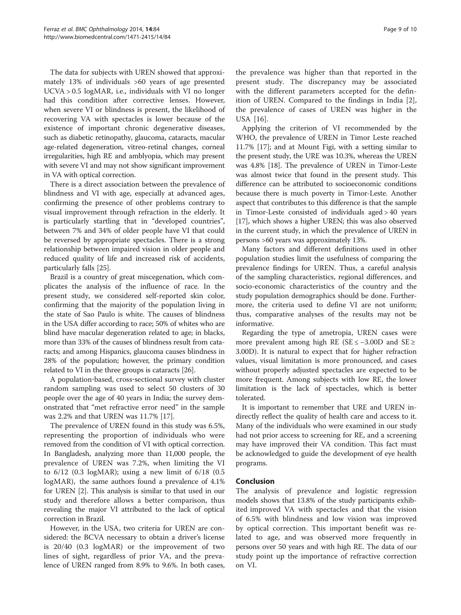The data for subjects with UREN showed that approximately 13% of individuals >60 years of age presented UCVA > 0.5 logMAR, i.e., individuals with VI no longer had this condition after corrective lenses. However, when severe VI or blindness is present, the likelihood of recovering VA with spectacles is lower because of the existence of important chronic degenerative diseases, such as diabetic retinopathy, glaucoma, cataracts, macular age-related degeneration, vitreo-retinal changes, corneal irregularities, high RE and amblyopia, which may present with severe VI and may not show significant improvement in VA with optical correction.

There is a direct association between the prevalence of blindness and VI with age, especially at advanced ages, confirming the presence of other problems contrary to visual improvement through refraction in the elderly. It is particularly startling that in "developed countries", between 7% and 34% of older people have VI that could be reversed by appropriate spectacles. There is a strong relationship between impaired vision in older people and reduced quality of life and increased risk of accidents, particularly falls [\[25](#page-9-0)].

Brazil is a country of great miscegenation, which complicates the analysis of the influence of race. In the present study, we considered self-reported skin color, confirming that the majority of the population living in the state of Sao Paulo is white. The causes of blindness in the USA differ according to race; 50% of whites who are blind have macular degeneration related to age; in blacks, more than 33% of the causes of blindness result from cataracts; and among Hispanics, glaucoma causes blindness in 28% of the population; however, the primary condition related to VI in the three groups is cataracts [[26](#page-9-0)].

A population‐based, cross‐sectional survey with cluster random sampling was used to select 50 clusters of 30 people over the age of 40 years in India; the survey demonstrated that "met refractive error need" in the sample was 2.2% and that UREN was 11.7% [[17](#page-9-0)].

The prevalence of UREN found in this study was 6.5%, representing the proportion of individuals who were removed from the condition of VI with optical correction. In Bangladesh, analyzing more than 11,000 people, the prevalence of UREN was 7.2%, when limiting the VI to 6/12 (0.3 logMAR); using a new limit of 6/18 (0.5 logMAR), the same authors found a prevalence of 4.1% for UREN [\[2\]](#page-9-0). This analysis is similar to that used in our study and therefore allows a better comparison, thus revealing the major VI attributed to the lack of optical correction in Brazil.

However, in the USA, two criteria for UREN are considered: the BCVA necessary to obtain a driver's license is 20/40 (0.3 logMAR) or the improvement of two lines of sight, regardless of prior VA, and the prevalence of UREN ranged from 8.9% to 9.6%. In both cases, the prevalence was higher than that reported in the present study. The discrepancy may be associated with the different parameters accepted for the definition of UREN. Compared to the findings in India [\[2](#page-9-0)], the prevalence of cases of UREN was higher in the USA [\[16](#page-9-0)].

Applying the criterion of VI recommended by the WHO, the prevalence of UREN in Timor Leste reached 11.7% [\[17](#page-9-0)]; and at Mount Figi, with a setting similar to the present study, the URE was 10.3%, whereas the UREN was 4.8% [\[18](#page-9-0)]. The prevalence of UREN in Timor-Leste was almost twice that found in the present study. This difference can be attributed to socioeconomic conditions because there is much poverty in Timor-Leste. Another aspect that contributes to this difference is that the sample in Timor-Leste consisted of individuals aged > 40 years [[17](#page-9-0)], which shows a higher UREN; this was also observed in the current study, in which the prevalence of UREN in persons >60 years was approximately 13%.

Many factors and different definitions used in other population studies limit the usefulness of comparing the prevalence findings for UREN. Thus, a careful analysis of the sampling characteristics, regional differences, and socio-economic characteristics of the country and the study population demographics should be done. Furthermore, the criteria used to define VI are not uniform; thus, comparative analyses of the results may not be informative.

Regarding the type of ametropia, UREN cases were more prevalent among high RE ( $SE \le -3.00D$  and  $SE \ge$ 3.00D). It is natural to expect that for higher refraction values, visual limitation is more pronounced, and cases without properly adjusted spectacles are expected to be more frequent. Among subjects with low RE, the lower limitation is the lack of spectacles, which is better tolerated.

It is important to remember that URE and UREN indirectly reflect the quality of health care and access to it. Many of the individuals who were examined in our study had not prior access to screening for RE, and a screening may have improved their VA condition. This fact must be acknowledged to guide the development of eye health programs.

## Conclusion

The analysis of prevalence and logistic regression models shows that 13.8% of the study participants exhibited improved VA with spectacles and that the vision of 6.5% with blindness and low vision was improved by optical correction. This important benefit was related to age, and was observed more frequently in persons over 50 years and with high RE. The data of our study point up the importance of refractive correction on VI.